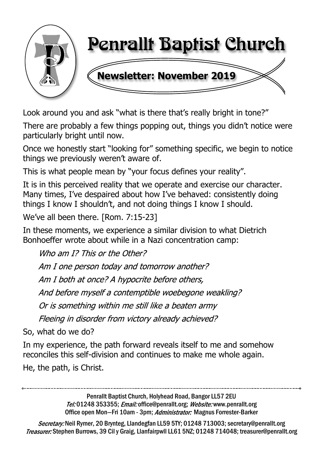

Look around you and ask "what is there that's really bright in tone?"

There are probably a few things popping out, things you didn't notice were particularly bright until now.

Once we honestly start "looking for" something specific, we begin to notice things we previously weren't aware of.

This is what people mean by "your focus defines your reality".

It is in this perceived reality that we operate and exercise our character. Many times, I've despaired about how I've behaved: consistently doing things I know I shouldn't, and not doing things I know I should.

We've all been there. [Rom. 7:15-23]

In these moments, we experience a similar division to what Dietrich Bonhoeffer wrote about while in a Nazi concentration camp:

Who am 1? This or the Other? Am I one person today and tomorrow another? Am I both at once? A hypocrite before others, And before myself a contemptible woebegone weakling? Or is something within me still like a beaten army Fleeing in disorder from victory already achieved?

So, what do we do?

In my experience, the path forward reveals itself to me and somehow reconciles this self-division and continues to make me whole again.

He, the path, is Christ.

Penrallt Baptist Church, Holyhead Road, Bangor LL57 2EU Tel:01248 353355; Email: office@penrallt.org; Website: www.penrallt.org Office open Mon-Fri 10am - 3pm; Administrator: Magnus Forrester-Barker

Secretary: Neil Rymer, 20 Brynteg, Llandegfan LL59 5TY; 01248 713003; secretary@penrallt.org Treasurer: Stephen Burrows, 39 Cil y Graig, Llanfairpwll LL61 5NZ; 01248 714048; treasurer@penrallt.org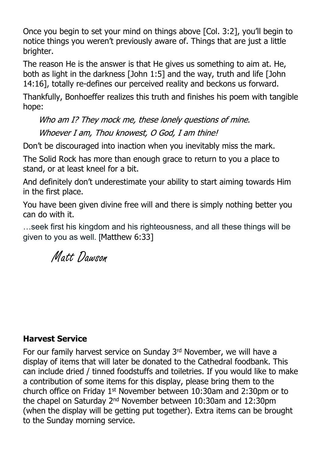Once you begin to set your mind on things above [Col. 3:2], you'll begin to notice things you weren't previously aware of. Things that are just a little brighter.

The reason He is the answer is that He gives us something to aim at. He, both as light in the darkness [John 1:5] and the way, truth and life [John 14:16], totally re-defines our perceived reality and beckons us forward.

Thankfully, Bonhoeffer realizes this truth and finishes his poem with tangible hope:

Who am I? They mock me, these lonely questions of mine. Whoever I am, Thou knowest, O God, I am thine!

Don't be discouraged into inaction when you inevitably miss the mark.

The Solid Rock has more than enough grace to return to you a place to stand, or at least kneel for a bit.

And definitely don't underestimate your ability to start aiming towards Him in the first place.

You have been given divine free will and there is simply nothing better you can do with it.

…seek first his kingdom and his righteousness, and all these things will be given to you as well. [Matthew 6:33]

Matt Dawson

### **Harvest Service**

For our family harvest service on Sunday 3rd November, we will have a display of items that will later be donated to the Cathedral foodbank. This can include dried / tinned foodstuffs and toiletries. If you would like to make a contribution of some items for this display, please bring them to the church office on Friday 1st November between 10:30am and 2:30pm or to the chapel on Saturday 2nd November between 10:30am and 12:30pm (when the display will be getting put together). Extra items can be brought to the Sunday morning service.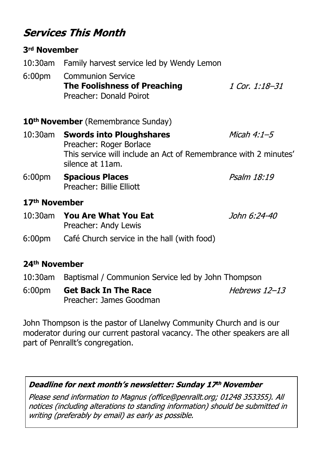# **Services This Month**

### **3rd November**

- 10:30am Family harvest service led by Wendy Lemon
- 6:00pm Communion Service **The Foolishness of Preaching** 1 Cor. 1:18-31 Preacher: Donald Poirot

**10th November** (Remembrance Sunday)

- 10:30am **Swords into Ploughshares** Micah  $4:1-5$ Preacher: Roger Borlace This service will include an Act of Remembrance with 2 minutes' silence at 11am. Psalm 18:19
- 6:00pm **Spacious Places** Preacher: Billie Elliott

### **17th November**

- 10:30am **You Are What You Eat** John 6:24-40 Preacher: Andy Lewis
- 6:00pm Café Church service in the hall (with food)

### **24th November**

- 10:30am Baptismal / Communion Service led by John Thompson
- 6:00pm **Get Back In The Race** Hebrews  $12-13$ Preacher: James Goodman

John Thompson is the pastor of Llanelwy Community Church and is our moderator during our current pastoral vacancy. The other speakers are all part of Penrallt's congregation.

### Deadline for next month's newsletter: Sunday 17th November

Please send information to Magnus (office@penrallt.org; 01248 353355). All notices (including alterations to standing information) should be submitted in writing (preferably by email) as early as possible.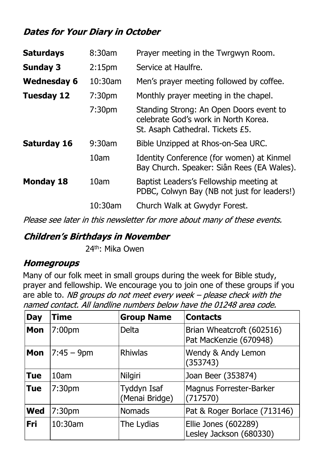# **Dates for Your Diary in October**

| 8:30am             | Prayer meeting in the Twrgwyn Room.                                                                                 |  |
|--------------------|---------------------------------------------------------------------------------------------------------------------|--|
| 2:15 <sub>pm</sub> | Service at Haulfre.                                                                                                 |  |
| 10:30am            | Men's prayer meeting followed by coffee.                                                                            |  |
| 7:30 <sub>pm</sub> | Monthly prayer meeting in the chapel.                                                                               |  |
| 7:30 <sub>pm</sub> | Standing Strong: An Open Doors event to<br>celebrate God's work in North Korea.<br>St. Asaph Cathedral. Tickets £5. |  |
| $9:30$ am          | Bible Unzipped at Rhos-on-Sea URC.                                                                                  |  |
| 10am               | Identity Conference (for women) at Kinmel<br>Bay Church. Speaker: Siân Rees (EA Wales).                             |  |
| 10am               | Baptist Leaders's Fellowship meeting at<br>PDBC, Colwyn Bay (NB not just for leaders!)                              |  |
| 10:30am            | Church Walk at Gwydyr Forest.                                                                                       |  |
|                    |                                                                                                                     |  |

Please see later in this newsletter for more about many of these events.

## **Children's Birthdays in November**

24th: Mika Owen

## **Homegroups**

Many of our folk meet in small groups during the week for Bible study, prayer and fellowship. We encourage you to join one of these groups if you are able to. NB groups do not meet every week – please check with the

| <b>Day</b> | <b>Time</b>        | <b>Group Name</b>                    | <b>Contacts</b>                                     |
|------------|--------------------|--------------------------------------|-----------------------------------------------------|
| <b>Mon</b> | 7:00 <sub>pm</sub> | <b>Delta</b>                         | Brian Wheatcroft (602516)<br>Pat MacKenzie (670948) |
| Mon        | $ 7:45 - 9$ pm     | Rhiwlas                              | Wendy & Andy Lemon<br>(353743)                      |
| <b>Tue</b> | 10am               | Nilgiri                              | Joan Beer (353874)                                  |
| <b>Tue</b> | 7:30 <sub>pm</sub> | <b>Tyddyn Isaf</b><br>(Menai Bridge) | <b>Magnus Forrester-Barker</b><br>(717570)          |
| <b>Wed</b> | 7:30 <sub>pm</sub> | <b>Nomads</b>                        | Pat & Roger Borlace (713146)                        |
| Fri        | 10:30am            | The Lydias                           | Ellie Jones (602289)<br>Lesley Jackson (680330)     |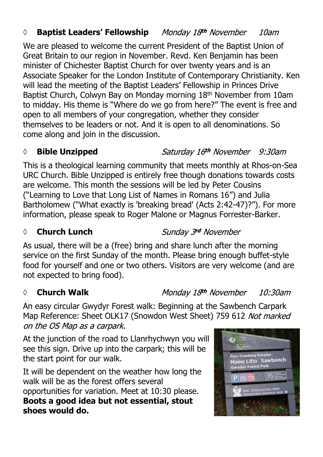### *◊* **Baptist Leaders' Fellowship** 10am

We are pleased to welcome the current President of the Baptist Union of Great Britain to our region in November. Revd. Ken Benjamin has been minister of Chichester Baptist Church for over twenty years and is an Associate Speaker for the London Institute of Contemporary Christianity. Ken will lead the meeting of the Baptist Leaders' Fellowship in Princes Drive Baptist Church, Colwyn Bay on Monday morning 18th November from 10am to midday. His theme is "Where do we go from here?" The event is free and open to all members of your congregation, whether they consider themselves to be leaders or not. And it is open to all denominations. So come along and join in the discussion.

### *◊* **Bible Unzipped**

This is a theological learning community that meets monthly at Rhos-on-Sea URC Church. Bible Unzipped is entirely free though donations towards costs are welcome. This month the sessions will be led by Peter Cousins ("Learning to Love that Long List of Names in Romans 16") and Julia Bartholomew ("What exactly is 'breaking bread' (Acts 2:42-47)?"). For more information, please speak to Roger Malone or Magnus Forrester-Barker.

### *◊* **Church Lunch**

Sunday 3rd November

As usual, there will be a (free) bring and share lunch after the morning service on the first Sunday of the month. Please bring enough buffet-style food for yourself and one or two others. Visitors are very welcome (and are not expected to bring food).

### *◊* **Church Walk**

Monday 18th November 10:30am

An easy circular Gwydyr Forest walk: Beginning at the Sawbench Carpark Map Reference: Sheet OLK17 (Snowdon West Sheet) 759 612 Not marked on the OS Map as a carpark.

At the junction of the road to Llanrhychwyn you will see this sign. Drive up into the carpark; this will be the start point for our walk.

It will be dependent on the weather how long the walk will be as the forest offers several opportunities for variation. Meet at 10:30 please. **Boots a good idea but not essential, stout shoes would do.**



Saturday 16th November 9:30am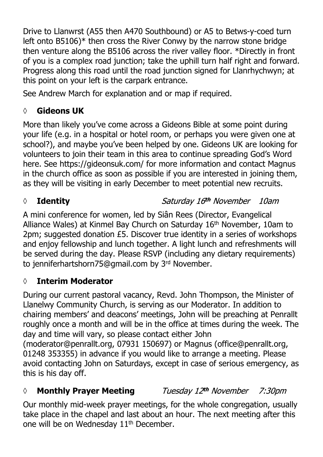Drive to Llanwrst (A55 then A470 Southbound) or A5 to Betws-y-coed turn left onto B5106)\* then cross the River Conwy by the narrow stone bridge then venture along the B5106 across the river valley floor. \*Directly in front of you is a complex road junction; take the uphill turn half right and forward. Progress along this road until the road junction signed for Llanrhychwyn; at this point on your left is the carpark entrance.

See Andrew March for explanation and or map if required.

# **◊ Gideons UK**

More than likely you've come across a Gideons Bible at some point during your life (e.g. in a hospital or hotel room, or perhaps you were given one at school?), and maybe you've been helped by one. Gideons UK are looking for volunteers to join their team in this area to continue spreading God's Word here. See https://gideonsuk.com/ for more information and contact Magnus in the church office as soon as possible if you are interested in joining them, as they will be visiting in early December to meet potential new recruits.

# *◊* **Identity**

# Saturday 16th November 10am

A mini conference for women, led by Siân Rees (Director, Evangelical Alliance Wales) at Kinmel Bay Church on Saturday 16th November, 10am to 2pm; suggested donation £5. Discover true identity in a series of workshops and enjoy fellowship and lunch together. A light lunch and refreshments will be served during the day. Please RSVP (including any dietary requirements) to jenniferhartshorn75@gmail.com by 3rd November.

# **◊ Interim Moderator**

During our current pastoral vacancy, Revd. John Thompson, the Minister of Llanelwy Community Church, is serving as our Moderator. In addition to chairing members' and deacons' meetings, John will be preaching at Penrallt roughly once a month and will be in the office at times during the week. The day and time will vary, so please contact either John (moderator@penrallt.org, 07931 150697) or Magnus (office@penrallt.org, 01248 353355) in advance if you would like to arrange a meeting. Please avoid contacting John on Saturdays, except in case of serious emergency, as this is his day off.

### *◊* **Monthly Prayer Meeting** Tuesday 12th November 7:30pm

Our monthly mid-week prayer meetings, for the whole congregation, usually take place in the chapel and last about an hour. The next meeting after this one will be on Wednesday 11<sup>th</sup> December.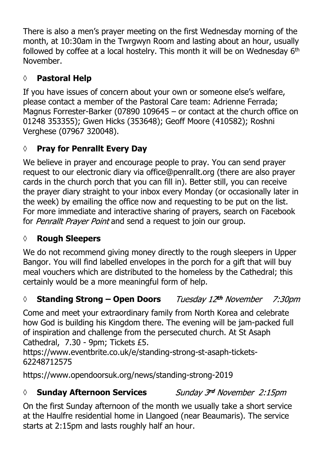There is also a men's prayer meeting on the first Wednesday morning of the month, at 10:30am in the Twrgwyn Room and lasting about an hour, usually followed by coffee at a local hostelry. This month it will be on Wednesday 6th November.

# **◊ Pastoral Help**

If you have issues of concern about your own or someone else's welfare, please contact a member of the Pastoral Care team: Adrienne Ferrada; Magnus Forrester-Barker (07890 109645 – or contact at the church office on 01248 353355); Gwen Hicks (353648); Geoff Moore (410582); Roshni Verghese (07967 320048).

# **◊ Pray for Penrallt Every Day**

We believe in prayer and encourage people to pray. You can send prayer request to our electronic diary via office@penrallt.org (there are also prayer cards in the church porch that you can fill in). Better still, you can receive the prayer diary straight to your inbox every Monday (or occasionally later in the week) by emailing the office now and requesting to be put on the list. For more immediate and interactive sharing of prayers, search on Facebook for *Penrallt Prayer Point* and send a request to join our group.

# **◊ Rough Sleepers**

We do not recommend giving money directly to the rough sleepers in Upper Bangor. You will find labelled envelopes in the porch for a gift that will buy meal vouchers which are distributed to the homeless by the Cathedral; this certainly would be a more meaningful form of help.

### *◊* **Standing Strong – Open Doors** 7:30*pm*

Come and meet your extraordinary family from North Korea and celebrate how God is building his Kingdom there. The evening will be jam-packed full of inspiration and challenge from the persecuted church. At St Asaph Cathedral, 7.30 - 9pm; Tickets £5.

https://www.eventbrite.co.uk/e/standing-strong-st-asaph-tickets-62248712575

https://www.opendoorsuk.org/news/standing-strong-2019

# *◊* **Sunday Afternoon Services**

Sunday 3rd November 2:15pm

On the first Sunday afternoon of the month we usually take a short service at the Haulfre residential home in Llangoed (near Beaumaris). The service starts at 2:15pm and lasts roughly half an hour.